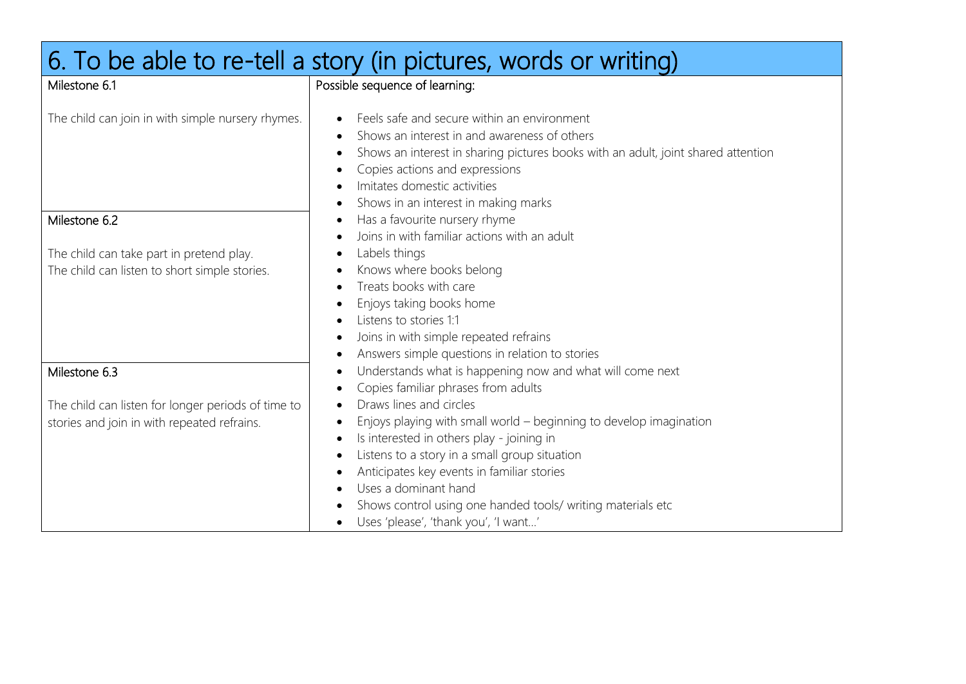| 6. To be able to re-tell a story (in pictures, words or writing)                                                   |                                                                                                                                                                                                                                                                                                                                                                       |  |
|--------------------------------------------------------------------------------------------------------------------|-----------------------------------------------------------------------------------------------------------------------------------------------------------------------------------------------------------------------------------------------------------------------------------------------------------------------------------------------------------------------|--|
| Milestone 6.1                                                                                                      | Possible sequence of learning:                                                                                                                                                                                                                                                                                                                                        |  |
| The child can join in with simple nursery rhymes.                                                                  | Feels safe and secure within an environment<br>Shows an interest in and awareness of others<br>Shows an interest in sharing pictures books with an adult, joint shared attention<br>Copies actions and expressions<br>Imitates domestic activities<br>Shows in an interest in making marks<br>$\bullet$                                                               |  |
| Milestone 6.2                                                                                                      | Has a favourite nursery rhyme                                                                                                                                                                                                                                                                                                                                         |  |
| The child can take part in pretend play.<br>The child can listen to short simple stories.                          | Joins in with familiar actions with an adult<br>Labels things<br>Knows where books belong<br>Treats books with care<br>Enjoys taking books home<br>Listens to stories 1:1<br>Joins in with simple repeated refrains                                                                                                                                                   |  |
|                                                                                                                    | Answers simple questions in relation to stories                                                                                                                                                                                                                                                                                                                       |  |
| Milestone 6.3<br>The child can listen for longer periods of time to<br>stories and join in with repeated refrains. | Understands what is happening now and what will come next<br>Copies familiar phrases from adults<br>Draws lines and circles<br>Enjoys playing with small world – beginning to develop imagination<br>Is interested in others play - joining in<br>Listens to a story in a small group situation<br>Anticipates key events in familiar stories<br>Uses a dominant hand |  |
|                                                                                                                    | Shows control using one handed tools/ writing materials etc<br>Uses 'please', 'thank you', 'I want'                                                                                                                                                                                                                                                                   |  |